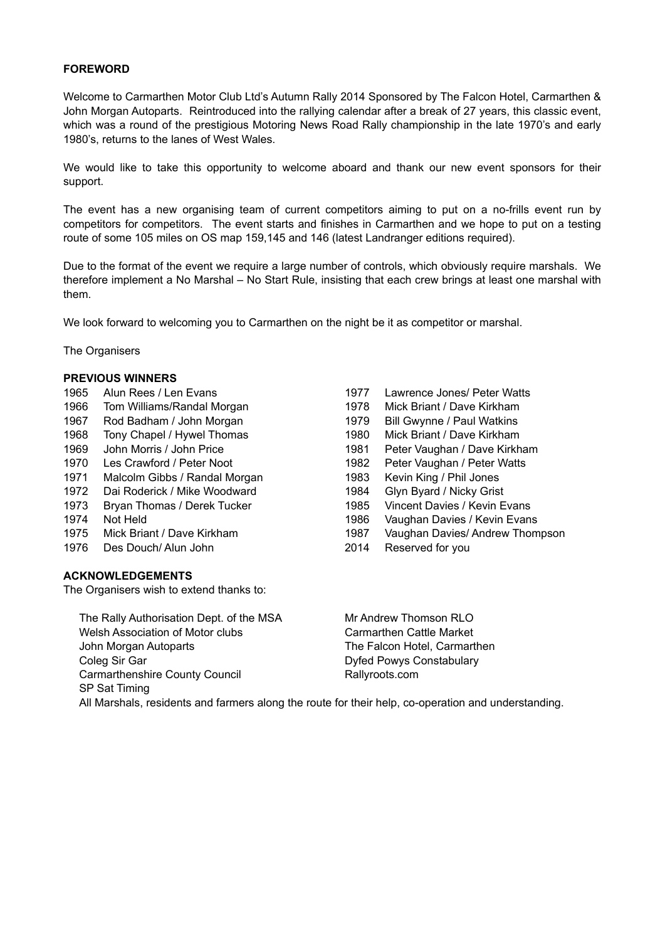#### **FOREWORD**

Welcome to Carmarthen Motor Club Ltd's Autumn Rally 2014 Sponsored by The Falcon Hotel, Carmarthen & John Morgan Autoparts. Reintroduced into the rallying calendar after a break of 27 years, this classic event, which was a round of the prestigious Motoring News Road Rally championship in the late 1970's and early 1980's, returns to the lanes of West Wales.

We would like to take this opportunity to welcome aboard and thank our new event sponsors for their support.

The event has a new organising team of current competitors aiming to put on a no-frills event run by competitors for competitors. The event starts and finishes in Carmarthen and we hope to put on a testing route of some 105 miles on OS map 159,145 and 146 (latest Landranger editions required).

Due to the format of the event we require a large number of controls, which obviously require marshals. We therefore implement a No Marshal – No Start Rule, insisting that each crew brings at least one marshal with them.

We look forward to welcoming you to Carmarthen on the night be it as competitor or marshal.

The Organisers

#### **PREVIOUS WINNERS**

- 1965 Alun Rees / Len Evans 1977 Lawrence Jones/ Peter Watts 1967 Rod Badham / John Morgan 1979 Bill Gwynne / Paul Watkins
- 
- 
- 1971 Malcolm Gibbs / Randal Morgan 1983 Kevin King / Phil Jones
- 1972 Dai Roderick / Mike Woodward 1984 Glyn Byard / Nicky Grist
- 
- 
- 
- 1976 Des Douch/ Alun John 2014 Reserved for you

#### **ACKNOWLEDGEMENTS**

SP Sat Timing

The Organisers wish to extend thanks to:

1966 Tom Williams/Randal Morgan 1978 Mick Briant / Dave Kirkham 1968 Tony Chapel / Hywel Thomas 1980 Mick Briant / Dave Kirkham 1969 John Morris / John Price 1981 Peter Vaughan / Dave Kirkham 1970 Les Crawford / Peter Noot 1982 Peter Vaughan / Peter Watts 1973 Bryan Thomas / Derek Tucker 1985 Vincent Davies / Kevin Evans 1974 Not Held 1974 Not Held 1986 Vaughan Davies / Kevin Evans 1975 Mick Briant / Dave Kirkham 1987 Vaughan Davies/ Andrew Thompson

The Rally Authorisation Dept. of the MSA Mr Andrew Thomson RLO Welsh Association of Motor clubs Carmarthen Cattle Market John Morgan Autoparts The Falcon Hotel, Carmarthen Coleg Sir Gar **Dyfed Powys Constabulary** Carmarthenshire County Council **Rallyroots.com** 

All Marshals, residents and farmers along the route for their help, co-operation and understanding.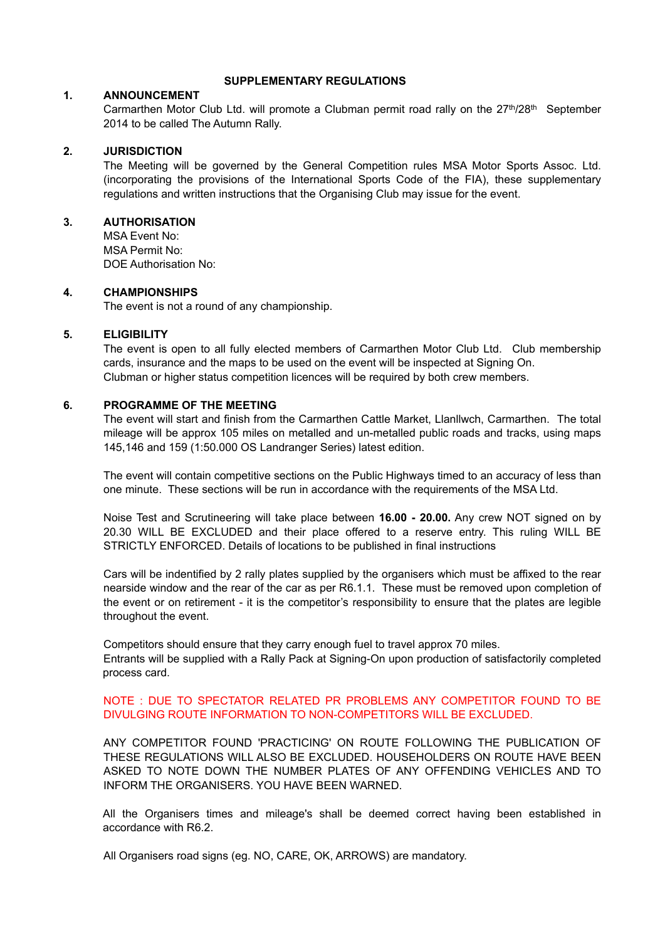#### **SUPPLEMENTARY REGULATIONS**

## **1. ANNOUNCEMENT**

Carmarthen Motor Club Ltd. will promote a Clubman permit road rally on the 27<sup>th</sup>/28<sup>th</sup> September 2014 to be called The Autumn Rally.

### **2. JURISDICTION**

The Meeting will be governed by the General Competition rules MSA Motor Sports Assoc. Ltd. (incorporating the provisions of the International Sports Code of the FIA), these supplementary regulations and written instructions that the Organising Club may issue for the event.

## **3. AUTHORISATION**

MSA Event No: MSA Permit No: DOE Authorisation No:

#### **4. CHAMPIONSHIPS**

The event is not a round of any championship.

## **5. ELIGIBILITY**

The event is open to all fully elected members of Carmarthen Motor Club Ltd. Club membership cards, insurance and the maps to be used on the event will be inspected at Signing On. Clubman or higher status competition licences will be required by both crew members.

#### **6. PROGRAMME OF THE MEETING**

The event will start and finish from the Carmarthen Cattle Market, Llanllwch, Carmarthen. The total mileage will be approx 105 miles on metalled and un-metalled public roads and tracks, using maps 145,146 and 159 (1:50.000 OS Landranger Series) latest edition.

The event will contain competitive sections on the Public Highways timed to an accuracy of less than one minute. These sections will be run in accordance with the requirements of the MSA Ltd.

Noise Test and Scrutineering will take place between **16.00 - 20.00.** Any crew NOT signed on by 20.30 WILL BE EXCLUDED and their place offered to a reserve entry. This ruling WILL BE STRICTLY ENFORCED. Details of locations to be published in final instructions

Cars will be indentified by 2 rally plates supplied by the organisers which must be affixed to the rear nearside window and the rear of the car as per R6.1.1. These must be removed upon completion of the event or on retirement - it is the competitor's responsibility to ensure that the plates are legible throughout the event.

Competitors should ensure that they carry enough fuel to travel approx 70 miles. Entrants will be supplied with a Rally Pack at Signing-On upon production of satisfactorily completed process card.

## NOTE : DUE TO SPECTATOR RELATED PR PROBLEMS ANY COMPETITOR FOUND TO BE DIVULGING ROUTE INFORMATION TO NON-COMPETITORS WILL BE EXCLUDED.

ANY COMPETITOR FOUND 'PRACTICING' ON ROUTE FOLLOWING THE PUBLICATION OF THESE REGULATIONS WILL ALSO BE EXCLUDED. HOUSEHOLDERS ON ROUTE HAVE BEEN ASKED TO NOTE DOWN THE NUMBER PLATES OF ANY OFFENDING VEHICLES AND TO INFORM THE ORGANISERS. YOU HAVE BEEN WARNED.

All the Organisers times and mileage's shall be deemed correct having been established in accordance with R6.2.

All Organisers road signs (eg. NO, CARE, OK, ARROWS) are mandatory.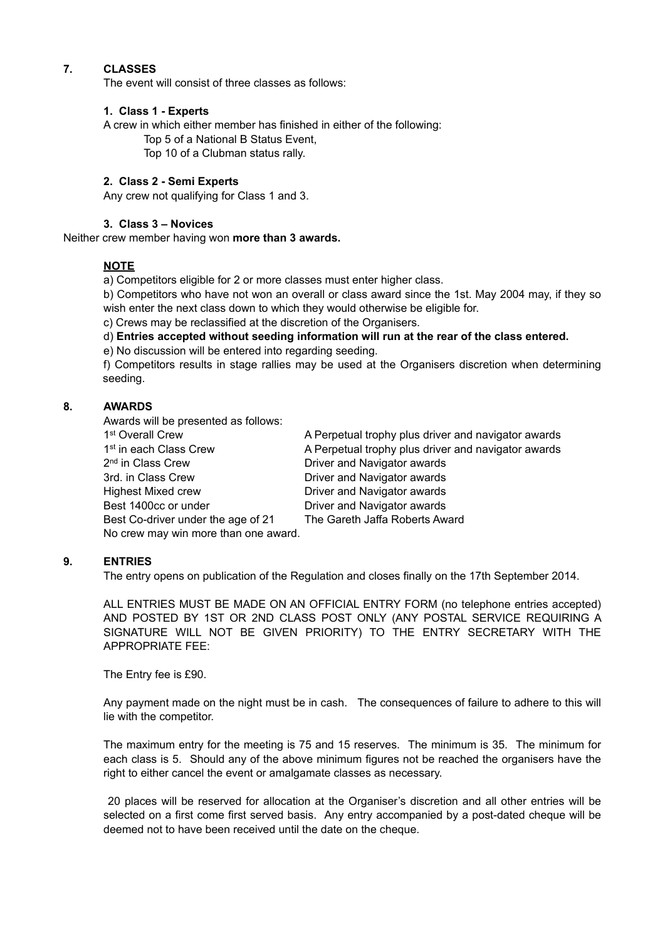# **7. CLASSES**

The event will consist of three classes as follows:

### **1. Class 1 - Experts**

A crew in which either member has finished in either of the following:

Top 5 of a National B Status Event,

Top 10 of a Clubman status rally.

### **2. Class 2 - Semi Experts**

Any crew not qualifying for Class 1 and 3.

## **3. Class 3 – Novices**

Neither crew member having won **more than 3 awards.**

## **NOTE**

a) Competitors eligible for 2 or more classes must enter higher class.

b) Competitors who have not won an overall or class award since the 1st. May 2004 may, if they so wish enter the next class down to which they would otherwise be eligible for.

c) Crews may be reclassified at the discretion of the Organisers.

d) **Entries accepted without seeding information will run at the rear of the class entered.**

e) No discussion will be entered into regarding seeding.

f) Competitors results in stage rallies may be used at the Organisers discretion when determining seeding.

## **8. AWARDS**

Awards will be presented as follows: 2<sup>nd</sup> in Class Crew Driver and Navigator awards 3rd. in Class Crew **Driver and Navigator awards** Highest Mixed crew Driver and Navigator awards Best 1400cc or under **Driver and Navigator awards** Best Co-driver under the age of 21 The Gareth Jaffa Roberts Award No crew may win more than one award.

1st Overall Crew **A** Perpetual trophy plus driver and navigator awards 1<sup>st</sup> in each Class Crew **A** Perpetual trophy plus driver and navigator awards

## **9. ENTRIES**

The entry opens on publication of the Regulation and closes finally on the 17th September 2014.

ALL ENTRIES MUST BE MADE ON AN OFFICIAL ENTRY FORM (no telephone entries accepted) AND POSTED BY 1ST OR 2ND CLASS POST ONLY (ANY POSTAL SERVICE REQUIRING A SIGNATURE WILL NOT BE GIVEN PRIORITY) TO THE ENTRY SECRETARY WITH THE APPROPRIATE FEE:

The Entry fee is £90.

Any payment made on the night must be in cash. The consequences of failure to adhere to this will lie with the competitor.

The maximum entry for the meeting is 75 and 15 reserves. The minimum is 35. The minimum for each class is 5. Should any of the above minimum figures not be reached the organisers have the right to either cancel the event or amalgamate classes as necessary.

 20 places will be reserved for allocation at the Organiser's discretion and all other entries will be selected on a first come first served basis. Any entry accompanied by a post-dated cheque will be deemed not to have been received until the date on the cheque.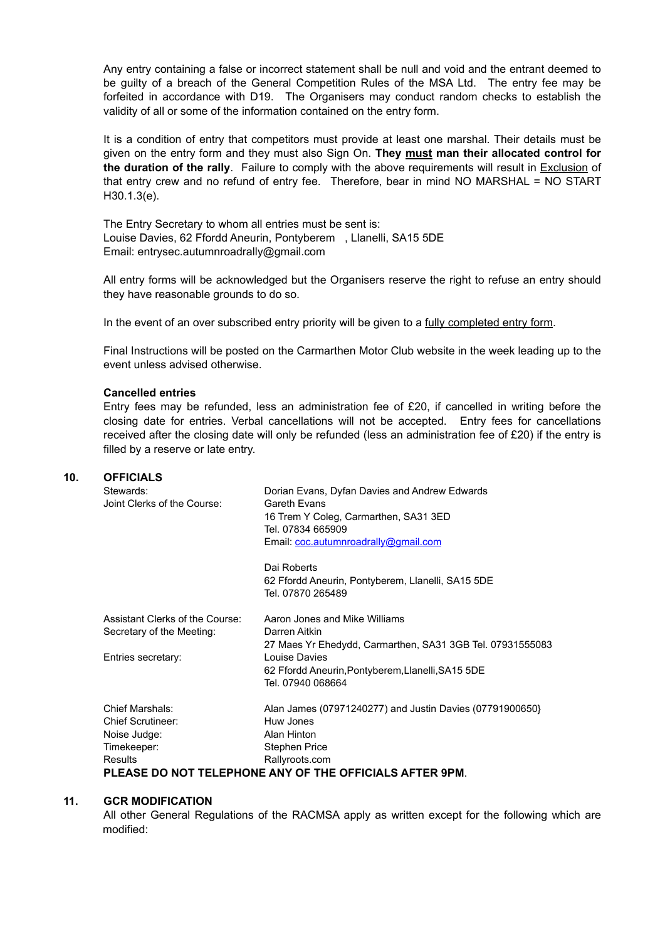Any entry containing a false or incorrect statement shall be null and void and the entrant deemed to be guilty of a breach of the General Competition Rules of the MSA Ltd. The entry fee may be forfeited in accordance with D19. The Organisers may conduct random checks to establish the validity of all or some of the information contained on the entry form.

It is a condition of entry that competitors must provide at least one marshal. Their details must be given on the entry form and they must also Sign On. **They must man their allocated control for the duration of the rally**. Failure to comply with the above requirements will result in Exclusion of that entry crew and no refund of entry fee. Therefore, bear in mind NO MARSHAL = NO START H30.1.3(e).

The Entry Secretary to whom all entries must be sent is: Louise Davies, 62 Ffordd Aneurin, Pontyberem , Llanelli, SA15 5DE Email: entrysec.autumnroadrally@gmail.com

All entry forms will be acknowledged but the Organisers reserve the right to refuse an entry should they have reasonable grounds to do so.

In the event of an over subscribed entry priority will be given to a fully completed entry form.

Final Instructions will be posted on the Carmarthen Motor Club website in the week leading up to the event unless advised otherwise.

#### **Cancelled entries**

Entry fees may be refunded, less an administration fee of £20, if cancelled in writing before the closing date for entries. Verbal cancellations will not be accepted. Entry fees for cancellations received after the closing date will only be refunded (less an administration fee of £20) if the entry is filled by a reserve or late entry.

### **10. OFFICIALS**

|  | Stewards:                                               | Dorian Evans, Dyfan Davies and Andrew Edwards             |  |  |
|--|---------------------------------------------------------|-----------------------------------------------------------|--|--|
|  | Joint Clerks of the Course:                             | Gareth Evans                                              |  |  |
|  |                                                         | 16 Trem Y Coleg, Carmarthen, SA31 3ED                     |  |  |
|  |                                                         | Tel. 07834 665909                                         |  |  |
|  |                                                         | Email: coc.autumnroadrally@gmail.com                      |  |  |
|  |                                                         | Dai Roberts                                               |  |  |
|  |                                                         | 62 Ffordd Aneurin, Pontyberem, Llanelli, SA15 5DE         |  |  |
|  |                                                         | Tel. 07870 265489                                         |  |  |
|  | Assistant Clerks of the Course:                         | Aaron Jones and Mike Williams                             |  |  |
|  | Secretary of the Meeting:                               | Darren Aitkin                                             |  |  |
|  |                                                         | 27 Maes Yr Ehedydd, Carmarthen, SA31 3GB Tel. 07931555083 |  |  |
|  | Entries secretary:                                      | Louise Davies                                             |  |  |
|  |                                                         | 62 Ffordd Aneurin, Pontyberem, Llanelli, SA15 5DE         |  |  |
|  |                                                         | Tel. 07940 068664                                         |  |  |
|  | Chief Marshals:                                         | Alan James (07971240277) and Justin Davies (07791900650}  |  |  |
|  | <b>Chief Scrutineer:</b>                                | Huw Jones                                                 |  |  |
|  | Noise Judge:                                            | Alan Hinton                                               |  |  |
|  | Timekeeper:                                             | <b>Stephen Price</b>                                      |  |  |
|  | <b>Results</b>                                          | Rallyroots.com                                            |  |  |
|  | PLEASE DO NOT TELEPHONE ANY OF THE OFFICIALS AFTER 9PM. |                                                           |  |  |

#### **11. GCR MODIFICATION**

All other General Regulations of the RACMSA apply as written except for the following which are modified: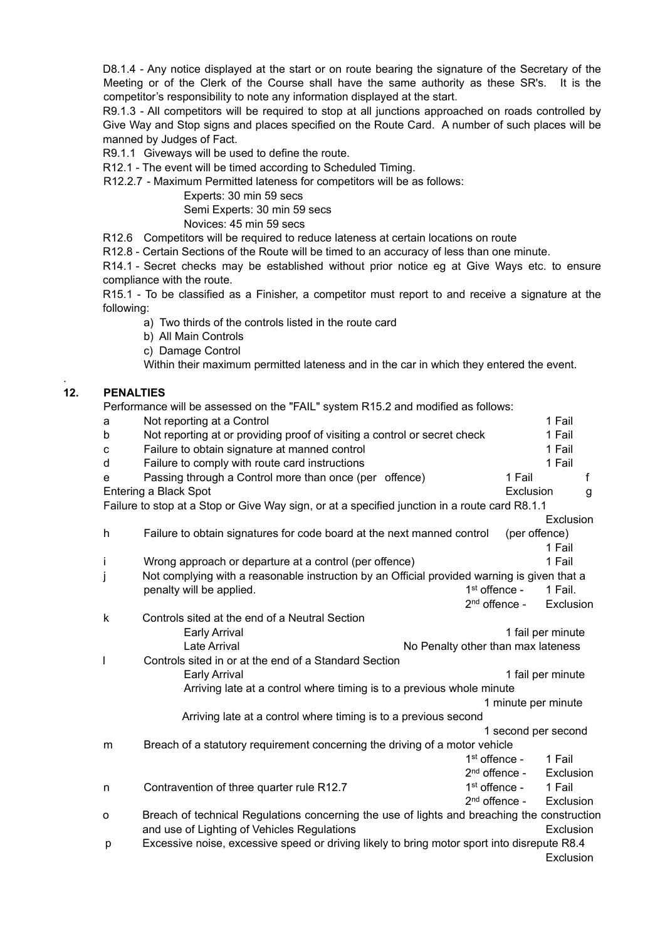D8.1.4 - Any notice displayed at the start or on route bearing the signature of the Secretary of the Meeting or of the Clerk of the Course shall have the same authority as these SR's. It is the competitor's responsibility to note any information displayed at the start.

R9.1.3 - All competitors will be required to stop at all junctions approached on roads controlled by Give Way and Stop signs and places specified on the Route Card. A number of such places will be manned by Judges of Fact.

R9.1.1 Giveways will be used to define the route.

R12.1 - The event will be timed according to Scheduled Timing.

R12.2.7 - Maximum Permitted lateness for competitors will be as follows:

Experts: 30 min 59 secs Semi Experts: 30 min 59 secs Novices: 45 min 59 secs

R12.6 Competitors will be required to reduce lateness at certain locations on route

R12.8 - Certain Sections of the Route will be timed to an accuracy of less than one minute.

R14.1 - Secret checks may be established without prior notice eg at Give Ways etc. to ensure compliance with the route.

R15.1 - To be classified as a Finisher, a competitor must report to and receive a signature at the following:

a) Two thirds of the controls listed in the route card

b) All Main Controls

c) Damage Control

Within their maximum permitted lateness and in the car in which they entered the event.

# **12. PENALTIES**

.

Performance will be assessed on the "FAIL" system R15.2 and modified as follows:

| a            | Not reporting at a Control                                                                    |                                    | 1 Fail            |
|--------------|-----------------------------------------------------------------------------------------------|------------------------------------|-------------------|
| b            | Not reporting at or providing proof of visiting a control or secret check                     |                                    | 1 Fail            |
| $\mathbf{C}$ | Failure to obtain signature at manned control                                                 |                                    | 1 Fail            |
| d            | Failure to comply with route card instructions                                                |                                    | 1 Fail            |
| e            | Passing through a Control more than once (per offence)                                        | 1 Fail                             | f                 |
|              | Entering a Black Spot                                                                         | Exclusion                          | g                 |
|              | Failure to stop at a Stop or Give Way sign, or at a specified junction in a route card R8.1.1 |                                    |                   |
|              |                                                                                               |                                    | Exclusion         |
| h            | Failure to obtain signatures for code board at the next manned control                        |                                    | (per offence)     |
|              |                                                                                               |                                    | 1 Fail            |
| Ť            | Wrong approach or departure at a control (per offence)                                        |                                    | 1 Fail            |
| j            | Not complying with a reasonable instruction by an Official provided warning is given that a   |                                    |                   |
|              | penalty will be applied.                                                                      | $1st$ offence -                    | 1 Fail.           |
|              |                                                                                               | $2nd$ offence -                    | Exclusion         |
| k            | Controls sited at the end of a Neutral Section                                                |                                    |                   |
|              | <b>Early Arrival</b>                                                                          |                                    | 1 fail per minute |
|              | Late Arrival                                                                                  | No Penalty other than max lateness |                   |
| I            | Controls sited in or at the end of a Standard Section                                         |                                    |                   |
|              | Early Arrival                                                                                 |                                    | 1 fail per minute |
|              | Arriving late at a control where timing is to a previous whole minute                         |                                    |                   |
|              |                                                                                               | 1 minute per minute                |                   |
|              | Arriving late at a control where timing is to a previous second                               |                                    |                   |
|              |                                                                                               | 1 second per second                |                   |
| m            | Breach of a statutory requirement concerning the driving of a motor vehicle                   |                                    |                   |
|              |                                                                                               | $1st$ offence -                    | 1 Fail            |
|              |                                                                                               | 2 <sup>nd</sup> offence -          | Exclusion         |
| n            | Contravention of three quarter rule R12.7                                                     | $1st$ offence -                    | 1 Fail            |
|              |                                                                                               | 2 <sup>nd</sup> offence -          | Exclusion         |
| $\circ$      | Breach of technical Regulations concerning the use of lights and breaching the construction   |                                    |                   |
|              | and use of Lighting of Vehicles Regulations                                                   |                                    | Exclusion         |
| р            | Excessive noise, excessive speed or driving likely to bring motor sport into disrepute R8.4   |                                    |                   |
|              |                                                                                               |                                    | Exclusion         |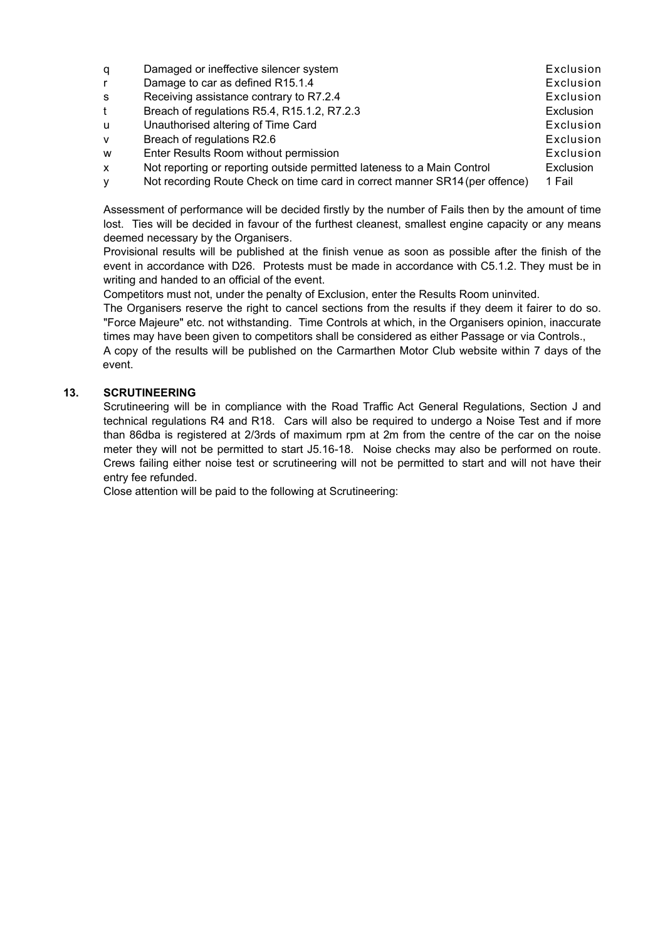| q | Damaged or ineffective silencer system                                      | Exclusion        |
|---|-----------------------------------------------------------------------------|------------------|
|   | Damage to car as defined R15.1.4                                            | Exclusion        |
| s | Receiving assistance contrary to R7.2.4                                     | Exclusion        |
|   | Breach of regulations R5.4, R15.1.2, R7.2.3                                 | <b>Exclusion</b> |
| u | Unauthorised altering of Time Card                                          | Exclusion        |
| v | Breach of regulations R2.6                                                  | Exclusion        |
| w | Enter Results Room without permission                                       | Exclusion        |
| X | Not reporting or reporting outside permitted lateness to a Main Control     | Exclusion        |
| v | Not recording Route Check on time card in correct manner SR14 (per offence) | 1 Fail           |
|   |                                                                             |                  |

Assessment of performance will be decided firstly by the number of Fails then by the amount of time lost. Ties will be decided in favour of the furthest cleanest, smallest engine capacity or any means deemed necessary by the Organisers.

Provisional results will be published at the finish venue as soon as possible after the finish of the event in accordance with D26. Protests must be made in accordance with C5.1.2. They must be in writing and handed to an official of the event.

Competitors must not, under the penalty of Exclusion, enter the Results Room uninvited.

The Organisers reserve the right to cancel sections from the results if they deem it fairer to do so. "Force Majeure" etc. not withstanding. Time Controls at which, in the Organisers opinion, inaccurate times may have been given to competitors shall be considered as either Passage or via Controls.,

A copy of the results will be published on the Carmarthen Motor Club website within 7 days of the event.

## **13. SCRUTINEERING**

Scrutineering will be in compliance with the Road Traffic Act General Regulations, Section J and technical regulations R4 and R18. Cars will also be required to undergo a Noise Test and if more than 86dba is registered at 2/3rds of maximum rpm at 2m from the centre of the car on the noise meter they will not be permitted to start J5.16-18. Noise checks may also be performed on route. Crews failing either noise test or scrutineering will not be permitted to start and will not have their entry fee refunded.

Close attention will be paid to the following at Scrutineering: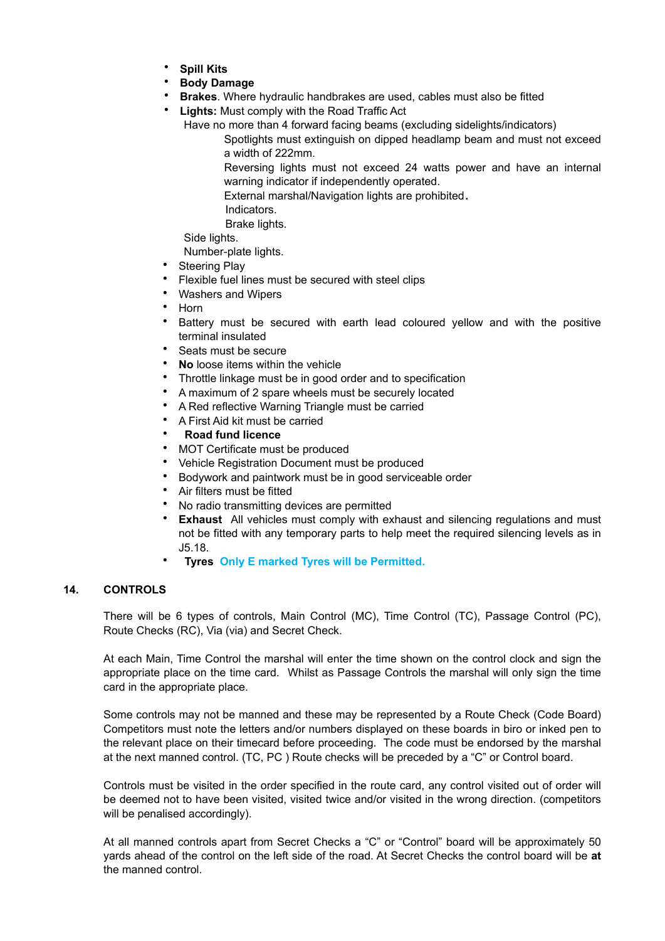- **Spill Kits**
- **Body Damage**
- **Brakes**. Where hydraulic handbrakes are used, cables must also be fitted
- **Lights:** Must comply with the Road Traffic Act
	- Have no more than 4 forward facing beams (excluding sidelights/indicators)

Spotlights must extinguish on dipped headlamp beam and must not exceed a width of 222mm.

Reversing lights must not exceed 24 watts power and have an internal warning indicator if independently operated.

External marshal/Navigation lights are prohibited **.**

Indicators.

Brake lights.

Side lights.

Number-plate lights.

- Steering Play
- Flexible fuel lines must be secured with steel clips
- Washers and Wipers
- Horn
- Battery must be secured with earth lead coloured yellow and with the positive terminal insulated
- Seats must be secure
- **No** loose items within the vehicle
- Throttle linkage must be in good order and to specification
- A maximum of 2 spare wheels must be securely located
- A Red reflective Warning Triangle must be carried
- A First Aid kit must be carried
- **Road fund licence**
- MOT Certificate must be produced
- Vehicle Registration Document must be produced
- Bodywork and paintwork must be in good serviceable order
- Air filters must be fitted
- No radio transmitting devices are permitted
- **Exhaust** All vehicles must comply with exhaust and silencing regulations and must not be fitted with any temporary parts to help meet the required silencing levels as in J5.18.
- **Tyres Only E marked Tyres will be Permitted.**

## **14. CONTROLS**

There will be 6 types of controls, Main Control (MC), Time Control (TC), Passage Control (PC), Route Checks (RC), Via (via) and Secret Check.

At each Main, Time Control the marshal will enter the time shown on the control clock and sign the appropriate place on the time card. Whilst as Passage Controls the marshal will only sign the time card in the appropriate place.

Some controls may not be manned and these may be represented by a Route Check (Code Board) Competitors must note the letters and/or numbers displayed on these boards in biro or inked pen to the relevant place on their timecard before proceeding. The code must be endorsed by the marshal at the next manned control. (TC, PC ) Route checks will be preceded by a "C" or Control board.

Controls must be visited in the order specified in the route card, any control visited out of order will be deemed not to have been visited, visited twice and/or visited in the wrong direction. (competitors will be penalised accordingly).

At all manned controls apart from Secret Checks a "C" or "Control" board will be approximately 50 yards ahead of the control on the left side of the road. At Secret Checks the control board will be **at** the manned control.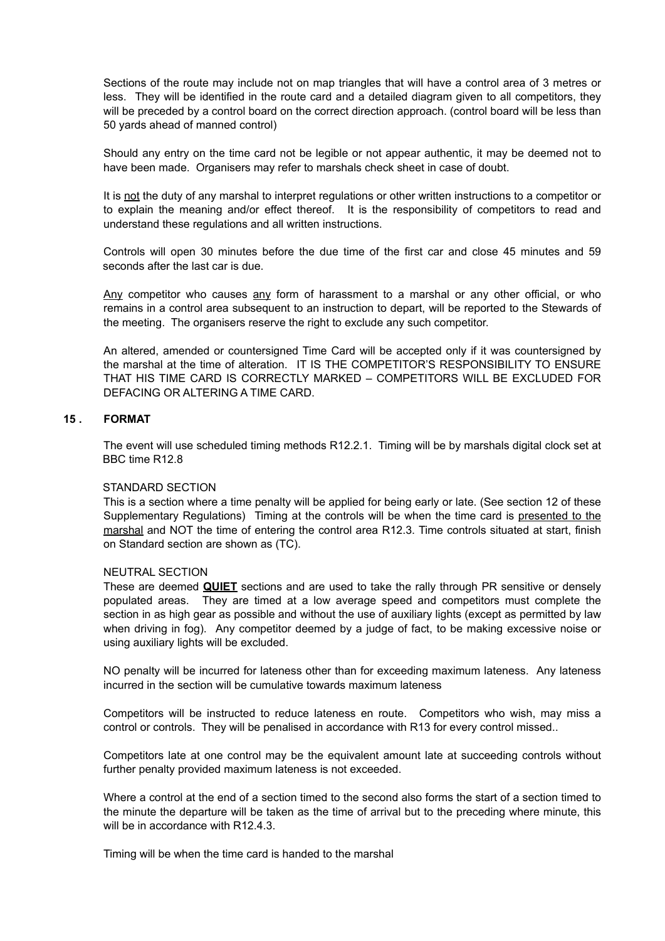Sections of the route may include not on map triangles that will have a control area of 3 metres or less. They will be identified in the route card and a detailed diagram given to all competitors, they will be preceded by a control board on the correct direction approach. (control board will be less than 50 yards ahead of manned control)

Should any entry on the time card not be legible or not appear authentic, it may be deemed not to have been made. Organisers may refer to marshals check sheet in case of doubt.

It is not the duty of any marshal to interpret regulations or other written instructions to a competitor or to explain the meaning and/or effect thereof. It is the responsibility of competitors to read and understand these regulations and all written instructions.

Controls will open 30 minutes before the due time of the first car and close 45 minutes and 59 seconds after the last car is due.

Any competitor who causes any form of harassment to a marshal or any other official, or who remains in a control area subsequent to an instruction to depart, will be reported to the Stewards of the meeting. The organisers reserve the right to exclude any such competitor.

An altered, amended or countersigned Time Card will be accepted only if it was countersigned by the marshal at the time of alteration. IT IS THE COMPETITOR'S RESPONSIBILITY TO ENSURE THAT HIS TIME CARD IS CORRECTLY MARKED – COMPETITORS WILL BE EXCLUDED FOR DEFACING OR ALTERING A TIME CARD.

## **15 . FORMAT**

The event will use scheduled timing methods R12.2.1. Timing will be by marshals digital clock set at BBC time R12.8

#### STANDARD SECTION

This is a section where a time penalty will be applied for being early or late. (See section 12 of these Supplementary Regulations) Timing at the controls will be when the time card is presented to the marshal and NOT the time of entering the control area R12.3. Time controls situated at start, finish on Standard section are shown as (TC).

#### NEUTRAL SECTION

These are deemed **QUIET** sections and are used to take the rally through PR sensitive or densely populated areas. They are timed at a low average speed and competitors must complete the section in as high gear as possible and without the use of auxiliary lights (except as permitted by law when driving in fog). Any competitor deemed by a judge of fact, to be making excessive noise or using auxiliary lights will be excluded.

NO penalty will be incurred for lateness other than for exceeding maximum lateness. Any lateness incurred in the section will be cumulative towards maximum lateness

Competitors will be instructed to reduce lateness en route. Competitors who wish, may miss a control or controls. They will be penalised in accordance with R13 for every control missed..

Competitors late at one control may be the equivalent amount late at succeeding controls without further penalty provided maximum lateness is not exceeded.

Where a control at the end of a section timed to the second also forms the start of a section timed to the minute the departure will be taken as the time of arrival but to the preceding where minute, this will be in accordance with R12.4.3.

Timing will be when the time card is handed to the marshal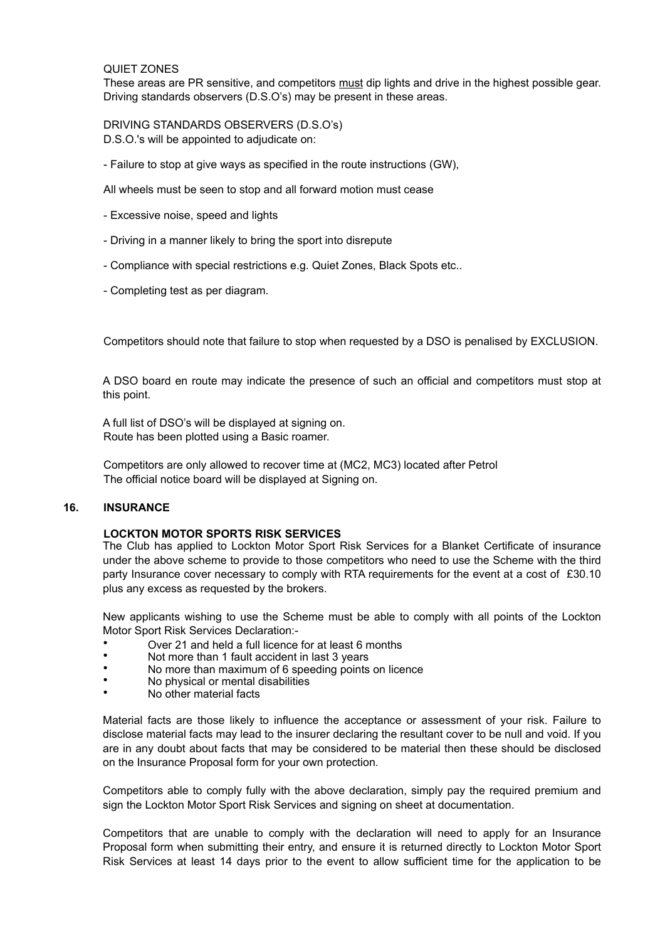#### QUIET ZONES

These areas are PR sensitive, and competitors must dip lights and drive in the highest possible gear. Driving standards observers (D.S.O's) may be present in these areas.

DRIVING STANDARDS OBSERVERS (D.S.O's) D.S.O.'s will be appointed to adjudicate on:

- Failure to stop at give ways as specified in the route instructions (GW),

All wheels must be seen to stop and all forward motion must cease

- Excessive noise, speed and lights
- Driving in a manner likely to bring the sport into disrepute
- Compliance with special restrictions e.g. Quiet Zones, Black Spots etc..
- Completing test as per diagram.

Competitors should note that failure to stop when requested by a DSO is penalised by EXCLUSION.

A DSO board en route may indicate the presence of such an official and competitors must stop at this point.

A full list of DSO's will be displayed at signing on. Route has been plotted using a Basic roamer.

Competitors are only allowed to recover time at (MC2, MC3) located after Petrol The official notice board will be displayed at Signing on.

## **16. INSURANCE**

#### **LOCKTON MOTOR SPORTS RISK SERVICES**

The Club has applied to Lockton Motor Sport Risk Services for a Blanket Certificate of insurance under the above scheme to provide to those competitors who need to use the Scheme with the third party Insurance cover necessary to comply with RTA requirements for the event at a cost of £30.10 plus any excess as requested by the brokers.

New applicants wishing to use the Scheme must be able to comply with all points of the Lockton Motor Sport Risk Services Declaration:-

- Over 21 and held a full licence for at least 6 months
- Not more than 1 fault accident in last 3 years
- No more than maximum of 6 speeding points on licence
- No physical or mental disabilities
- No other material facts

Material facts are those likely to influence the acceptance or assessment of your risk. Failure to disclose material facts may lead to the insurer declaring the resultant cover to be null and void. If you are in any doubt about facts that may be considered to be material then these should be disclosed on the Insurance Proposal form for your own protection.

Competitors able to comply fully with the above declaration, simply pay the required premium and sign the Lockton Motor Sport Risk Services and signing on sheet at documentation.

Competitors that are unable to comply with the declaration will need to apply for an Insurance Proposal form when submitting their entry, and ensure it is returned directly to Lockton Motor Sport Risk Services at least 14 days prior to the event to allow sufficient time for the application to be